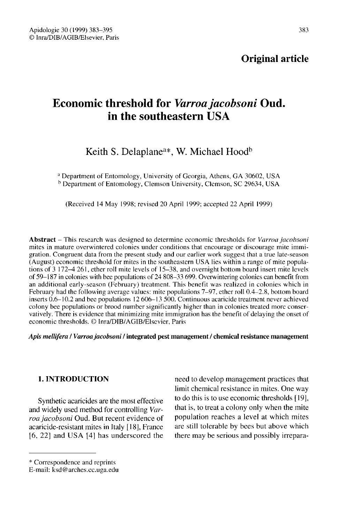383

# Economic threshold for Varroa jacobsoni Oud. in the southeastern USA

Keith S. Delaplane<sup>a\*</sup>, W. Michael Hood<sup>b</sup>

<sup>a</sup> Department of Entomology, University of Georgia, Athens, GA 30602, USA <sup>b</sup> Department of Entomology, Clemson University, Clemson, SC 29634, USA

(Received 14 May 1998; revised 20 April 1999; accepted 22 April 1999)

Abstract - This research was designed to determine economic thresholds for Varroa jacobsoni mites in mature overwintered colonies under conditions that encourage or discourage mite immigration. Congruent data from the present study and our earlier work suggest that a true late-season (August) economic threshold for mites in the southeastern USA lies within a range of mite populations of 3 172-4 261, ether roll mite levels of 15-38, and overnight bottom board insert mite levels of 59-187 in colonies with bee populations of 24 808-33 699. Overwintering colonies can benefit from an additional early-season (February) treatment. This benefit was realized in colonies which in February had the following average values: mite populations 7-97, ether roll 0.4-2.8, bottom board inserts 0.6-10.2 and bee populations 12 606-13 500. Continuous acaricide treatment never achieved colony bee populations or brood number significantly higher than in colonies treated more conservatively. There is evidence that minimizing mite immigration has the benefit of delaying the onset of economic thresholds. © Inra/DIB/AGIB/Elsevier, Paris

Apis mellifera / Varroa jacobsoni / integrated pest management / chemical resistance management

# 1. INTRODUCTION

Synthetic acaricides are the most effective and widely used method for controlling Varroa jacobsoni Oud. But recent evidence of acaricide-resistant mites in Italy [18], France [6, 22] and USA [4] has underscored the

need to develop management practices that limit chemical resistance in mites. One way to do this is to use economic thresholds [19], that is, to treat a colony only when the mite population reaches a level at which mites are still tolerable by bees but above which there may be serious and possibly irrepara-

<sup>\*</sup> Correspondence and reprints

E-mail: ksd@arches.cc.uga.edu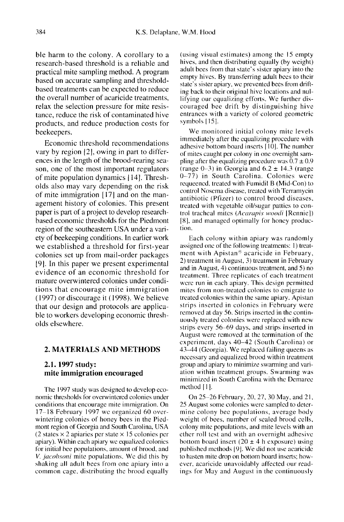ble harm to the colony. A corollary to a research-based threshold is a reliable and practical mite sampling method. A program based on accurate sampling and thresholdbased treatments can be expected to reduce the overall number of acaricide treatments, relax the selection pressure for mite resistance, reduce the risk of contaminated hive products, and reduce production costs for beekeepers.

Economic threshold recommendations vary by region [2], owing in part to differences in the length of the brood-rearing season, one of the most important regulators of mite population dynamics [14]. Thresholds also may vary depending on the risk of mite immigration [17] and on the management history of colonies. This present paper is part of a project to develop researchbased economic thresholds for the Piedmont region of the southeastern USA under a variety of beekeeping conditions. In earlier work we established a threshold for first-year colonies set up from mail-order packages [9]. In this paper we present experimental evidence of an economic threshold for mature overwintered colonies under conditions that encourage mite immigration (1997) or discourage it (1998). We believe that our design and protocols are applicable to workers developing economic thresholds elsewhere.

### 2. MATERIALS AND METHODS

# 2.1. 1997 study: mite immigration encouraged

The 1997 study was designed to develop economic thresholds for overwintered colonies under conditions that encourage mite immigration. On 17-18 February 1997 we organized 60 overwintering colonies of honey bees in the Piedmont region of Georgia and South Carolina, USA  $(2 \text{ states} \times 2 \text{ a} \text{pairs per state} \times 15 \text{ colonies per})$ apiary). Within each apiary we equalized colonies for initial bee populations, amount of brood, and V. jacobsoni mite populations. We did this by shaking all adult bees from one apiary into a common cage, distributing the brood equally

(using visual estimates) among the 15 empty hives, and then distributing equally (by weight) adult bees from that state's sister apiary into the empty hives. By transferring adult bees to their state's sister apiary, we prevented bees from drifting back to their original hive locations and nullifying our equalizing efforts. We further discouraged bee drift by distinguishing hive entrances with a variety of colored geometric symbols [15].

We monitored initial colony mite levels immediately after the equalizing procedure with adhesive bottom board inserts [10]. The number of mites caught per colony in one overnight sampling after the equalizing procedure was  $\overline{0.7} \pm 0.9$ (range  $0-3$ ) in Georgia and  $6.2 \pm 14.3$  (range 0-77) in South Carolina. Colonies were requeened, treated with Fumidil B (Mid-Con) to control Nosema disease, treated with Terramycin antibiotic (Pfizer) to control brood diseases, treated with vegetable oil/sugar patties to control tracheal mites (Acarapis woodi [Rennie]) [8], and managed optimally for honey production.

Each colony within apiary was randomly assigned one of the following treatments: 1) treatment with Apistan® acaricide in February, 2) treatment in August, 3) treatment in February and in August, 4) continuous treatment, and 5) no treatment. Three replicates of each treatment were run in each apiary. This design permitted mites from non-treated colonies to emigrate to treated colonies within the same apiary. Apistan strips inserted in colonies in February were removed at day 56. Strips inserted in the continuously treated colonies were replaced with new strips every 56-69 days, and strips inserted in August were removed at the termination of the experiment, days 40-42 (South Carolina) or 43-44 (Georgia). We replaced failing queens as necessary and equalized brood within treatment group and apiary to minimize swarming and variation within treatment groups. Swarming was minimized in South Carolina with the Demaree method [1].

On 25-26 February, 20, 27, 30 May, and 21, 25 August some colonies were sampled to determine colony bee populations, average body weight of bees, number of sealed brood cells, colony mite populations, and mite levels with an ether roll test and with an overnight adhesive bottom board insert (20  $\pm$  4 h exposure) using published methods [9]. We did not use acaricide to hasten mite drop on bottom board inserts; however, acaricide unavoidably affected our readings for May and August in the continuously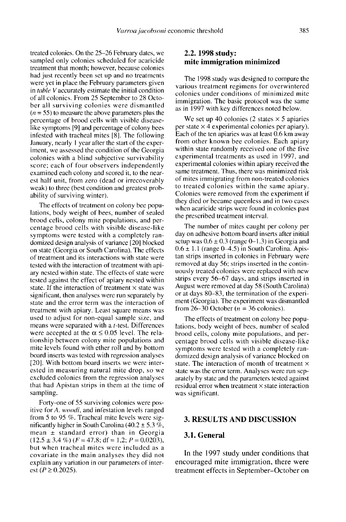treated colonies. On the 25-26 February dates, we sampled only colonies scheduled for acaricide treatment that month; however, because colonies had just recently been set up and no treatments were yet in place the February parameters given in table V accurately estimate the initial condition of all colonies. From 25 September to 28 October all surviving colonies were dismantled  $(n = 55)$  to measure the above parameters plus the percentage of brood cells with visible diseaselike symptoms [9] and percentage of colony bees infested with tracheal mites [8]. The following January, nearly 1 year after the start of the experiment, we assessed the condition of the Georgia colonies with a blind subjective survivability score; each of four observers independently examined each colony and scored it, to the nearest half unit, from zero (dead or irrecoverably weak) to three (best condition and greatest probability of surviving winter).

The effects of treatment on colony bee populations, body weight of bees, number of sealed brood cells, colony mite populations, and percentage brood cells with visible disease-like symptoms were tested with a completely randomized design analysis of variance [20] blocked on state (Georgia or South Carolina). The effects of treatment and its interactions with state were tested with the interaction of treatment with apiary nested within state. The effects of state were tested against the effect of apiary nested within state. If the interaction of treatment  $\times$  state was significant, then analyses were run separately by state and the error term was the interaction of treatment with apiary. Least square means was used to adjust for non-equal sample size, and means were separated with a t-test. Differences were accepted at the  $\alpha \leq 0.05$  level. The relationship between colony mite populations and mite levels found with ether roll and by bottom board inserts was tested with regression analyses [20]. With bottom board inserts we were interested in measuring natural mite drop, so we excluded colonies from the regression analyses that had Apistan strips in them at the time of sampling.

Forty-one of 55 surviving colonies were positive for A. *woodi*, and infestation levels ranged from 5 to 95 %. Tracheal mite levels were significantly higher in South Carolina  $(40.2 \pm 5.3 \%)$ . mean  $\pm$  standard error) than in Georgia  $(12.5 \pm 3.4 \%)$   $(F = 47.8; df = 1.2; P = 0.0203)$ , but when tracheal mites were included as a covariate in the main analyses they did not explain any variation in our parameters of interest (*P* ≥ 0.2025).

# 2.2. 1998 study: mite immigration minimized

The 1998 study was designed to compare the various treatment regimens for overwintered colonies under conditions of minimized mite immigration. The basic protocol was the same as in 1997 with key differences noted below.

We set up 40 colonies (2 states  $\times$  5 apiaries per state  $\times$  4 experimental colonies per apiary). Each of the ten apiaries was at least 0.6 km away from other known bee colonies. Each apiary within state randomly received one of the five experimental treatments as used in 1997, and experimental colonies within apiary received the same treatment. Thus, there was minimized risk of mites immigrating from non-treated colonies to treated colonies within the same apiary. Colonies were removed from the experiment if they died or became queenless and in two cases when acaricide strips were found in colonies past the prescribed treatment interval.

The number of mites caught per colony per day on adhesive bottom board inserts after initial setup was  $0.6 \pm 0.3$  (range 0-1.3) in Georgia and  $0.6 \pm 1.1$  (range  $0-4.5$ ) in South Carolina. Apistan strips inserted in colonies in February were removed at day 56; strips inserted in the continuously treated colonies were replaced with new strips every 56-67 days, and strips inserted in August were removed at day 58 (South Carolina) or at days 80-83, the termination of the experi ment (Georgia). The experiment was dismantled from 26-30 October ( $n = 36$  colonies).

The effects of treatment on colony bee populations, body weight of bees, number of sealed brood cells, colony mite populations, and percentage brood cells with visible disease-like symptoms were tested with a completely randomized design analysis of variance blocked on state. The interaction of month of treatment  $\times$ state was the error term. Analyses were run separately by state and the parameters tested against residual error when treatment  $\times$  state interaction was significant.

#### 3. RESULTS AND DISCUSSION

#### 3.1. General

In the 1997 study under conditions that encouraged mite immigration, there were treatment effects in September-October on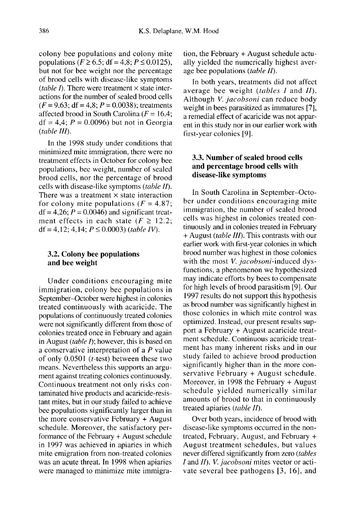colony bee populations and colony mite populations ( $F \ge 6.5$ ; df = 4.8;  $P \le 0.0125$ ). but not for bee weight nor the percentage of brood cells with disease-like symptoms (table I). There were treatment  $\times$  state interactions for the number of sealed brood cells  $(F = 9.63; df = 4.8; P = 0.0038)$ ; treatments affected brood in South Carolina ( $F = 16.4$ ;  $df = 4.4$ ;  $P = 0.0096$ ) but not in Georgia (table III).

In the 1998 study under conditions that minimized mite immigration, there were no treatment effects in October for colony bee populations, bee weight, number of sealed brood cells, nor the percentage of brood cells with disease-like symptoms (table II). There was a treatment  $\times$  state interaction for colony mite populations ( $F = 4.87$ ;  $df = 4,26$ ;  $P = 0.0046$ ) and significant treatment effects in each state ( $F \ge 12.2$ ; df = 4,12; 4,14;  $P \le 0.0003$ ) (table IV).

#### 3.2. Colony bee populations and bee weight

Under conditions encouraging mite immigration, colony bee populations in September-October were highest in colonies treated continuously with acaricide. The populations of continuously treated colonies were not significantly different from those of colonies treated once in February and again in August (*table I*); however, this is based on a conservative interpretation of a P value of only 0.0501 (t-test) between these two means. Nevertheless this supports an argument against treating colonies continuously. Continuous treatment not only risks contaminated hive products and acaricide-resistant mites, but in our study failed to achieve bee populations significantly larger than in the more conservative February + August schedule. Moreover, the satisfactory performance of the February + August schedule in 1997 was achieved in apiaries in which mite emigration from non-treated colonies was an acute threat. In 1998 when apiaries were managed to minimize mite immigration, the February + August schedule actually yielded the numerically highest average bee populations (table II).

In both years, treatments did not affect average bee weight (tables I and II). Although V. jacobsoni can reduce body weight in bees parasitized as immatures [7], a remedial effect of acaricide was not apparent in this study nor in our earlier work with first-year colonies [9].

# 3.3. Number of sealed brood cells and percentage brood cells with disease-like symptoms

In South Carolina in September-October under conditions encouraging mite immigration, the number of sealed brood cells was highest in colonies treated continuously and in colonies treated in February + August (table III). This contrasts with our earlier work with first-year colonies in which brood number was highest in those colonies with the most *V. jacobsoni*-induced dysfunctions, a phenomenon we hypothesized may indicate efforts by bees to compensate for high levels of brood parasitism [9]. Our 1997 results do not support this hypothesis as brood number was significantly highest in those colonies in which mite control was optimized. Instead, our present results support a February + August acaricide treatment schedule. Continuous acaricide treatment has many inherent risks and in our study failed to achieve brood production significantly higher than in the more conservative February + August schedule. Moreover, in 1998 the February + August schedule yielded numerically similar amounts of brood to that in continuously treated apiaries (table II).

Over both years, incidence of brood with disease-like symptoms occurred in the nontreated, February, August, and February + August treatment schedules, but values never differed significantly from zero (tables I and II). V. jacobsoni mites vector or activate several bee pathogens [3, 16], and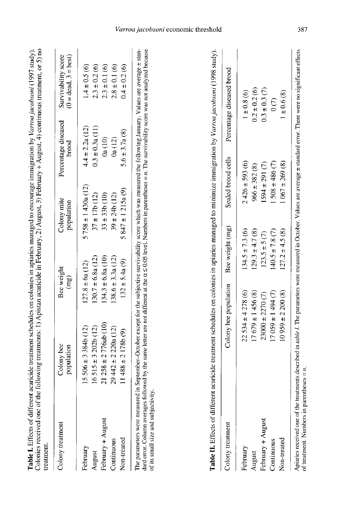| į<br>j<br>loniec in aniariec manared<br><b>Contractor</b><br>c<br>S<br>$1$ contains $1$<br>くくらく<br>ć | c tractmant or 31 no<br>$\sim$ $\sim$ $\sim$ $\sim$ $\sim$ $\sim$<br>i<br>$\overline{\phantom{a}}$<br>ļ<br> <br> <br> <br> <br> <br>an Hahmomy<br>l<br>nte li Anieta |              |
|------------------------------------------------------------------------------------------------------|----------------------------------------------------------------------------------------------------------------------------------------------------------------------|--------------|
| .<br>E<br><b>Tanner as Elliber</b><br>14ء ⊺ ملطم                                                     | くりくり<br>olomies received one of<br><b>A Little Control of the County of Service</b>                                                                                  | $-2 - 2 - 1$ |

| Colony treatment         | Colony bee<br>population                                                                                                                                                                                                       | Bee weight<br>(mg)   | Colony mite<br>population | Percentage diseased<br>brood | $(0 = dead, 3 = best)$<br>Survivability score |
|--------------------------|--------------------------------------------------------------------------------------------------------------------------------------------------------------------------------------------------------------------------------|----------------------|---------------------------|------------------------------|-----------------------------------------------|
| February                 | $15506 \pm 3384b(12)$                                                                                                                                                                                                          | $127.8 \pm 6a(12)$   | $5758 \pm 1430a(12)$      | $4.4 \pm 2.2a(12)$           | $1.4 \pm 0.5(6)$                              |
| August                   | $16515 \pm 3202b(12)$                                                                                                                                                                                                          | $130.7 \pm 6.8a(12)$ | $37 \pm 17b(12)$          | $0.3 \pm 0.3a(11)$           | $2.3 \pm 0.2(6)$                              |
| February + August        | $21258 \pm 2776ab(10)$                                                                                                                                                                                                         | $134.3 \pm 6.8a(10)$ | $33 \pm 33b$ (10)         | 0a(10)                       | $2.3 \pm 0.1(6)$                              |
| Continuous               | $29442 \pm 220a(12)$                                                                                                                                                                                                           | $138.6 \pm 3.3a(12)$ | $39 \pm 24b(12)$          | 0a(12)                       | $2.8 \pm 0.1(6)$                              |
| Non-treated              | $11488 \pm 2178b(9)$                                                                                                                                                                                                           | $132 \pm 5.4a(9)$    | $5847 \pm 1215a(9)$       | $6.6 \pm 3.7a(8)$            | $0.4 \pm 0.2(6)$                              |
| ha namanatarr wara maaan | red in Contambor October 2006 the three contractives in a construction of the contraction of the contample of the contraction of the contraction of the contraction of the contraction of the contraction of the contraction o |                      |                           |                              |                                               |

The parameters were measured in September–October except for the subjective survivability score which was measured the following January. Values are average ± stan-<br>dard error. Column averages followed by the same letter of its small size and subjectivity.

| <b>Jolony</b> treatment | Colony bee population Bee weight (mg) |                    |                    | Sealed brood cells Percentage diseased brood |
|-------------------------|---------------------------------------|--------------------|--------------------|----------------------------------------------|
| ebruary                 | $22.534 \pm 4.278(6)$                 | $134.5 \pm 7.3(6)$ | $2426 \pm 593(6)$  | $1 \pm 0.8$ (6)                              |
| hugust                  | $17679 \pm 1456(8)$                   | $129.3 \pm 4.7(8)$ | $966 \pm 382(8)$   | $0.2 \pm 0.2(6)$                             |
| ebruary + August        | $23000 \pm 2270$ (7)                  | $123.5 \pm 5(7)$   | $1594 \pm 291(7)$  | $0.3 \pm 0.3$ (7)                            |
| <b>Continuous</b>       | $17059 \pm 1494$ (7)                  | $40.5 \pm 7.8$ (7) | $1508 \pm 486$ (7) | $\odot$                                      |
| Non-treated             | $10959 \pm 2200(8)$                   | $127.2 \pm 4.5(8)$ | $1067 \pm 269$ (8) | $1 \pm 0.6 (8)$                              |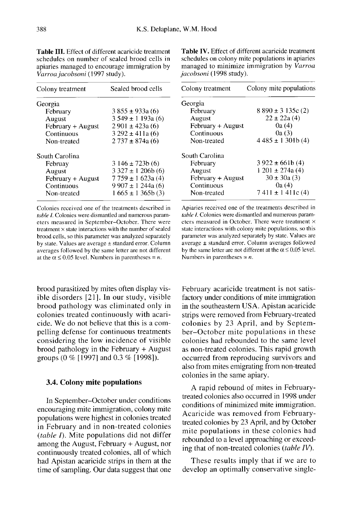| Colony treatment  | Sealed brood cells      |
|-------------------|-------------------------|
| Georgia           |                         |
| February          | $3855 \pm 933a(6)$      |
| August            | $3549 \pm 1193a(6)$     |
| February + August | $2901 \pm 423a(6)$      |
| Continuous        | $3292 \pm 411a(6)$      |
| Non-treated       | $2737 \pm 874a$ (6)     |
| South Carolina    |                         |
| Februay           | $3146 \pm 723b(6)$      |
| August            | $3\,327 \pm 1\,206b(6)$ |
| February + August | $7759 \pm 1623a(4)$     |
| Continuous        | $9907 \pm 1244a(6)$     |
| Non-treated       | $1665 \pm 1365$ b $(3)$ |

Table III. Effect of different acaricide treatment schedules on number of sealed brood cells in apiaries managed to encourage immigration by Varroa jacobsoni (1997 study).

Colonies received one of the treatments described in table I. Colonies were dismantled and numerous parameters measured in September-October. There were treatment × state interactions with the number of sealed brood cells, so this parameter was analyzed separately by state. Values are average  $\pm$  standard error. Column averages followed by the same letter are not different at the  $\alpha \le 0.05$  level. Numbers in parentheses = n.

brood parasitized by mites often display visible disorders [21]. In our study, visible brood pathology was eliminated only in colonies treated continuously with acaricide. We do not believe that this is a compelling defense for continuous treatments considering the low incidence of visible brood pathology in the February + August groups (0 % [1997] and 0.3 % [1998]).

#### 3.4. Colony mite populations

In September-October under conditions encouraging mite immigration, colony mite populations were highest in colonies treated in February and in non-treated colonies (table  $I$ ). Mite populations did not differ among the August, February + August, nor continuously treated colonies, all of which had Apistan acaricide strips in them at the time of sampling. Our data suggest that one

Table IV. Effect of different acaricide treatment schedules on colony mite populations in apiaries managed to minimize immigration by Varroa jacobsoni (1998 study).

| Colony treatment  | Colony mite populations |
|-------------------|-------------------------|
| Georgia           |                         |
| February          | $8890 \pm 3135c(2)$     |
| August            | $22 \pm 22a(4)$         |
| February + August | 0a (4)                  |
| Continuous        | 0a (3)                  |
| Non-treated       | $4485 \pm 1301b(4)$     |
| South Carolina    |                         |
| February          | $3922 \pm 661b(4)$      |
| August            | $1201 \pm 274a(4)$      |
| February + August | $30 \pm 30a(3)$         |
| Continuous        | 0a(4)                   |
| Non-treated       | $7411 \pm 1411c(4)$     |

Aniaries received one of the treatments described in table I. Colonies were dismantled and numerous parameters measured in October. There were treatment × state interactions with colony mite populations, so this parameter was analyzed separately by state. Values are  $a$ verage  $\pm$  standard error. Column averages followed by the same letter are not different at the  $\alpha \le 0.05$  level. Numbers in parentheses =  $n$ .

February acaricide treatment is not satisfactory under conditions of mite immigration in the southeastern USA. Apistan acaricide strips were removed from February-treated colonies by 23 April, and by September-October mite populations in these colonies had rebounded to the same level as non-treated colonies. This rapid growth occurred from reproducing survivors and also from mites emigrating from non-treated colonies in the same apiary.

A rapid rebound of mites in Februarytreated colonies also occurred in 1998 under conditions of minimized mite immigration. Acaricide was removed from Februarytreated colonies by 23 April, and by October mite populations in these colonies had rebounded to a level approaching or exceeding that of non-treated colonies (table IV).

These results imply that if we are to develop an optimally conservative single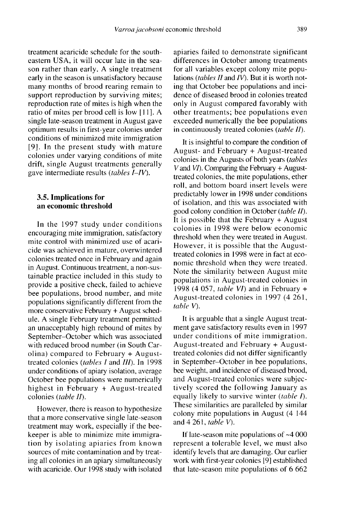treatment acaricide schedule for the southeastern USA, it will occur late in the season rather than early. A single treatment early in the season is unsatisfactory because many months of brood rearing remain to support reproduction by surviving mites; reproduction rate of mites is high when the ratio of mites per brood cell is low [11]. A single late-season treatment in August gave optimum results in first-year colonies under conditions of minimized mite immigration [9]. In the present study with mature colonies under varying conditions of mite drift, single August treatments generally gave intermediate results (tables I-IV).

# 3.5. Implications for an economic threshold

In the 1997 study under conditions encouraging mite immigration, satisfactory mite control with minimized use of acaricide was achieved in mature, overwintered colonies treated once in February and again in August. Continuous treatment, a non-sustainable practice included in this study to provide a positive check, failed to achieve bee populations, brood number, and mite populations significantly different from the more conservative February + August schedule. A single February treatment permitted an unacceptably high rebound of mites by September-October which was associated with reduced brood number (in South Carolina) compared to February + Augusttreated colonies (tables I and III). In 1998 under conditions of apiary isolation, average October bee populations were numerically highest in February + August-treated colonies (table II).

However, there is reason to hypothesize that a more conservative single late-season treatment may work, especially if the beekeeper is able to minimize mite immigration by isolating apiaries from known sources of mite contamination and by treating all colonies in an apiary simultaneously with acaricide. Our 1998 study with isolated apiaries failed to demonstrate significant differences in October among treatments for all variables except colony mite populations (tables  $II$  and  $IV$ ). But it is worth noting that October bee populations and incidence of diseased brood in colonies treated only in August compared favorably with other treatments; bee populations even exceeded numerically the bee populations in continuously treated colonies (table II).

It is insightful to compare the condition of August- and February + August-treated colonies in the Augusts of both years (tables V and  $VI$ ). Comparing the February  $+$  Augusttreated colonies, the mite populations, ether roll, and bottom board insert levels were predictably lower in 1998 under conditions of isolation, and this was associated with good colony condition in October (table II). It is possible that the February + August colonies in 1998 were below economic threshold when they were treated in August. However, it is possible that the Augusttreated colonies in 1998 were in fact at economic threshold when they were treated. Note the similarity between August mite populations in August-treated colonies in 1998 (4 057, table VI) and in February  $+$ August-treated colonies in 1997 (4 261, table V).

It is arguable that a single August treatment gave satisfactory results even in 1997 under conditions of mite immigration. August-treated and February + Augusttreated colonies did not differ significantly in September-October in bee populations, bee weight, and incidence of diseased brood, and August-treated colonies were subjectively scored the following January as equally likely to survive winter *(table I)*. These similarities are paralleled by similar colony mite populations in August (4 144 and 4 261, table V).

If late-season mite populations of ∼4 000 represent a tolerable level, we must also identify levels that are damaging. Our earlier work with first-year colonies [9] established that late-season mite populations of 6 662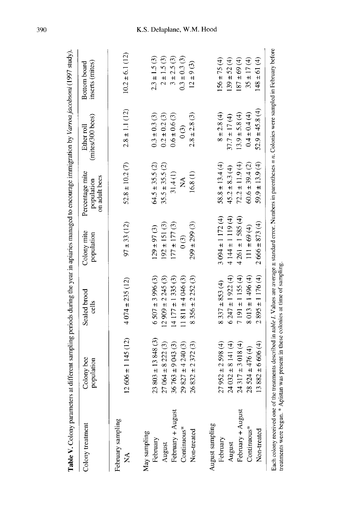| Colony treatment         | Colony bee<br>population | Sealed brood<br>cells | Colony mite<br>population | Percentage mite<br>on adult bees<br>population | (mites/300 bees)<br>Ether roll | inserts (mites)<br>Bottom board |
|--------------------------|--------------------------|-----------------------|---------------------------|------------------------------------------------|--------------------------------|---------------------------------|
| February sampling<br>Ź   | $12606 \pm 1145(12)$     | $4.074 \pm 235(12)$   | $97 \pm 33(12)$           | $52.8 \pm 10.2$ (7)                            | $2.8 \pm 1.1$ (12)             | $10.2 \pm 6.1(12)$              |
| May sampling<br>February | $23803 \pm 13848(3)$     | $6507 \pm 3996$ (3)   | $129 \pm 97(3)$           | $64.5 \pm 35.5(2)$                             | $0.3 \pm 0.3$ (3)              | $2.3 \pm 1.5(3)$                |
| August                   | $27064 \pm 8222(3)$      | $12909 \pm 2245$ (3)  | $192 \pm 151$ (3)         | $35.5 \pm 35.5(2)$                             | $0.2 \pm 0.2$ (3)              | $2 \pm 1.5(3)$                  |
| February + August        | $36763 \pm 9043(3)$      | $14177 \pm 1335(3)$   | $177 \pm 177$ (3)         | 31.4(1)                                        | $0.6 \pm 0.6$ (3)              | $3 + 2.5(3)$                    |
| Continuous*              | $29827 \pm 4240(3)$      | $11811 \pm 4046$ (3)  | $\binom{3}{2}$            | $\mathbb{A}^{\mathcal{A}}$                     | $\binom{3}{2}$                 | $0.3 \pm 0.3$ (3)               |
| Non-treated              | $26832 \pm 2372(3)$      | $8356 \pm 2252(3)$    | $299 \pm 299$ (3)         | 16.8(1)                                        | $2.8 \pm 2.8$ (3)              | $12 \pm 9(3)$                   |
| August sampling          |                          |                       |                           |                                                |                                |                                 |
| February                 | $27952 \pm 2598(4)$      | $8337 \pm 853(4)$     | $3.094 \pm 1.172(4)$      | $58.8 \pm 13.4(4)$                             | $8 + 2.8(4)$                   | $156 \pm 75(4)$                 |
| August                   | $24032 \pm 8141(4)$      | $6247 \pm 1922(4)$    | $4144 \pm 119$ (4)        | $45.2 \pm 8.3(4)$                              | $37.7 \pm 17(4)$               | $139 \pm 52(4)$                 |
| February + August        | $24317 \pm 3018(4)$      | $7191 \pm 1155(4)$    | $4261 \pm 1585(4)$        | $72.2 \pm 11.9(4)$                             | $13.9 \pm 5.8(4)$              | $(4)$ 69 ± 69 (4)               |
| Continuous*              | $28524 \pm 476(4)$       | $8013 \pm 1496(4)$    | $111 \pm 69 (4)$          | $60.6 \pm 39.4$ (2)                            | $0.4 \pm 0.4(4)$               | $35 \pm 17(4)$                  |
| Non-treated              | $13882 \pm 6606(4)$      | $2895 \pm 1176(4)$    | $2666 \pm 873(4)$         | $59.9 \pm 13.9(4)$                             | $52.9 \pm 45.8(4)$             | $148 \pm 61 (4)$                |

390

# K.S. Delaplane, W.M. Hood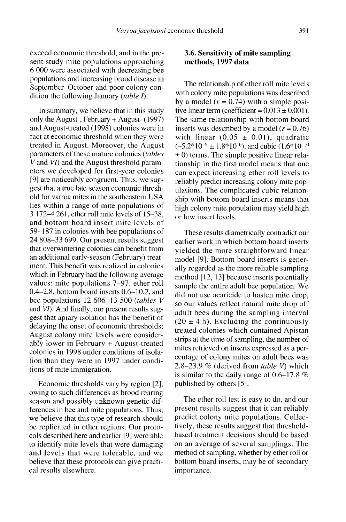exceed economic threshold, and in the present study mite populations approaching 6 000 were associated with decreasing bee populations and increasing brood disease in September-October and poor colony condition the following January *(table I)*.

In summary, we believe that in this study only the August-, February + August- (1997) and August-treated (1998) colonies were in fact at economic threshold when they were treated in August. Moreover, the August parameters of these mature colonies (tables V and VI) and the August threshold parameters we developed for first-year colonies [9] are noticeably congruent. Thus, we suggest that a true late-season economic threshold for varroa mites in the southeastern USA lies within a range of mite populations of 3 172-4 261, ether roll mite levels of 15-38, and bottom board insert mite levels of 59-187 in colonies with bee populations of 24 808-33 699. Our present results suggest that overwintering colonies can benefit from an additional early-season (February) treatment. This benefit was realized in colonies which in February had the following average values: mite populations 7-97, ether roll 0.4-2.8, bottom board inserts 0.6-10.2, and bee populations 12 606-13 500 (tables V and VI). And finally, our present results suggest that apiary isolation has the benefit of delaying the onset of economic thresholds; August colony mite levels were considerably lower in February + August-treated colonies in 1998 under conditions of isolation than they were in 1997 under conditions of mite immigration.

Economic thresholds vary by region [2], owing to such differences as brood rearing season and possibly unknown genetic differences in bee and mite populations. Thus, we believe that this type of research should be replicated in other regions. Our protocols described here and earlier [9] were able to identify mite levels that were damaging and levels that were tolerable, and we believe that these protocols can give practical results elsewhere.

# 3.6. Sensitivity of mite sampling methods, 1997 data

The relationship of ether roll mite levels with colony mite populations was described by a model  $(r = 0.74)$  with a simple positive linear term (coefficient =  $0.013 \pm 0.001$ ). The same relationship with bottom board inserts was described by a model  $(r = 0.76)$ with linear  $(0.05 \pm 0.01)$ , quadratic  $(-5.2*10^{-6} \pm 1.8*10^{-6})$ , and cubic  $(1.6*10^{-10} \pm 0)$  terms. The simple positive linear relationship in the first model means that one can expect increasing ether roll levels to reliably predict increasing colony mite populations. The complicated cubic relationship with bottom board inserts means that high colony mite population may yield high or low insert levels.

These results diametrically contradict our earlier work in which bottom board inserts yielded the more straightforward linear model [9]. Bottom board inserts is generally regarded as the more reliable sampling method [12, 13] because inserts potentially sample the entire adult bee population. We did not use acaricide to hasten mite drop, so our values reflect natural mite drop off adult bees during the sampling interval  $(20 \pm 4 \text{ h})$ . Excluding the continuously treated colonies which contained Apistan strips at the time of sampling, the number of mites retrieved on inserts expressed as a percentage of colony mites on adult bees was 2.8-23.9 % (derived from table V) which is similar to the daily range of 0.6-17.8 % published by others [5].

The ether roll test is easy to do, and our present results suggest that it can reliably predict colony mite populations. Collectively, these results suggest that thresholdbased treatment decisions should be based on an average of several samplings. The method of sampling, whether by ether roll or bottom board inserts, may be of secondary importance.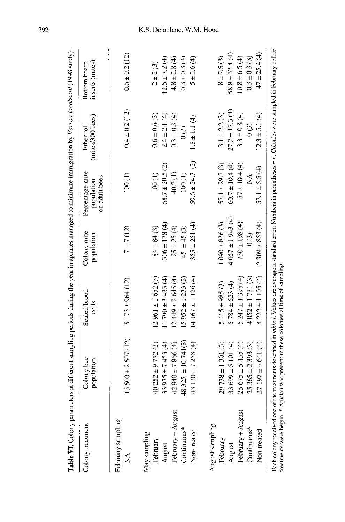| Table VI. Colony parameters at different sampling periods during the year in apiaries managed to minimize immigration by Varroa jacobsoni (1998 study).                                        |                          |                       |                           |                                                |                               |                                 |
|------------------------------------------------------------------------------------------------------------------------------------------------------------------------------------------------|--------------------------|-----------------------|---------------------------|------------------------------------------------|-------------------------------|---------------------------------|
| Colony treatment                                                                                                                                                                               | Colony bee<br>population | Sealed brood<br>cells | Colony mite<br>population | Percentage mite<br>on adult bees<br>population | (mites/300 becs)<br>Ether rol | inserts (mites)<br>Bottom board |
| February sampling<br>Ź                                                                                                                                                                         | $13500 \pm 2507(12)$     | $5173 \pm 964(12)$    | 7 ± 7(12)                 | 100(1)                                         | $0.4 \pm 0.2$ (12)            | $0.6 \pm 0.2$ (12)              |
| May sampling<br>February                                                                                                                                                                       | $40252 \pm 9772$ (3)     | $12961 \pm 1652(3)$   | $84 \pm 84$ (3)           | 100(1)                                         | $0.6 \pm 0.6$ (3)             | $2 \pm 2(3)$                    |
| August                                                                                                                                                                                         | 33 975 ± 7 453 (4)       | $11790 \pm 3433(4)$   | $306 \pm 178(4)$          | $68.7 \pm 20.5$ (2)                            | $2.4 \pm 2.1(4)$              | $12.5 \pm 7.2(4)$               |
| February + August                                                                                                                                                                              | $42940 \pm 7866(4)$      | $12449 \pm 2645(4)$   | $25 \pm 25 (4)$           | 40.2(1)                                        | $0.3 \pm 0.3 (4)$             | $4.8 \pm 2.8(4)$                |
| Continuous*                                                                                                                                                                                    | 48 325 $\pm$ 10 741(3)   | $15952 \pm 1233$ (3)  | $45 \pm 45(3)$            | 100(1)                                         | $\widehat{c}$                 | $0.3 \pm 0.3$ (3)               |
| Non-treated                                                                                                                                                                                    | 43 130 ± 7 258 (4)       | $14167 \pm 1126(4)$   | $355 \pm 251(4)$          | $59.6 \pm 24.7$ (2)                            | $1.8 \pm 1.1 (4)$             | $5 \pm 2.6(4)$                  |
| August sampling                                                                                                                                                                                |                          |                       |                           |                                                |                               |                                 |
| February                                                                                                                                                                                       | $29738 \pm 1301(3)$      | $5415 \pm 985$ (3)    | $1090 \pm 836$ (3)        | $57.1 \pm 29.7$ (3)                            | $3.1 \pm 2.2$ (3)             | $8 + 7.5(3)$                    |
| August                                                                                                                                                                                         | $33699 \pm 5101(4)$      | $5784 \pm 523(4)$     | $4057 \pm 1943(4)$        | $60.7 \pm 10.4(4)$                             | $27.2 \pm 17.3(4)$            | $58.8 \pm 32.4(4)$              |
| February + August                                                                                                                                                                              | $25675 \pm 5435(4)$      | $5247 \pm 1395(4)$    | $730 \pm 198$ (4)         | $57 \pm 10.4(4)$                               | $3.3 \pm 0.8$ (4)             | $10.8 \pm 6.5(4)$               |
| Continuous*                                                                                                                                                                                    | $25365 \pm 2393(3)$      | $4052 \pm 1731(3)$    | $\binom{3}{2}$            | ≨                                              | $\frac{3}{2}$                 | $0.3 \pm 0.3$ (3)               |
| Non-treated                                                                                                                                                                                    | $27197 \pm 4641(4)$      | $4222 \pm 1105(4)$    | $2309 \pm 853(4)$         | $53.1 \pm 5.5(4)$                              | $12.3 \pm 5.1(4)$             | $47 \pm 25.4(4)$                |
| Each colony received one of the treatments described in <i>table I</i> . Values are average $\pm$ standard error. Numbers in parentheses = <i>n</i> . Colonies were sampled in February before |                          |                       |                           |                                                |                               |                                 |

392

# K.S. Delaplane, W.M. Hood

treatments were begun. \* Apistan was present in these colonies at time of sampling.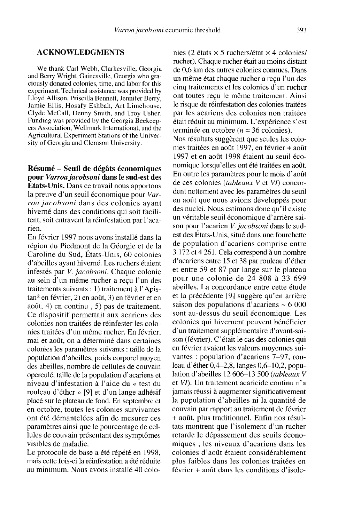# ACKNOWLEDGMENTS

We thank Carl Webb, Clarkesville, Georgia and Berry Wright, Gainesville, Georgia who graciously donated colonies, time, and labor for this experiment. Technical assistance was provided by Lloyd Allison, Priscilla Bennett, Jennifer Berry, Jamie Ellis, Hosafy Eshbah, Art Limehouse, Clyde McCall, Denny Smith, and Troy Usher. ers Association, Wellmark International, and the Agricultural Experiment Stations of the University of Georgia and Clemson University.

Résumé - Seuil de dégâts économiques pour Varroa jacobsoni dans le sud-est des États-Unis. Dans ce travail nous apportons la preuve d'un seuil économique pour Varroa jacobsoni dans des colonies ayant hiverné dans des conditions qui soit facilitent, soit entravent la réinfestation par l'acarien.

En février 1997 nous avons installé dans la région du Piedmont de la Géorgie et de la Caroline du Sud, États-Unis, 60 colonies d'abeilles ayant hiverné. Les ruchers étaient infestés par V. jacobsoni. Chaque colonie au sein d'un même rucher a reçu l'un des traitements suivants : 1) traitement à l'Apistan® en février, 2) en août, 3) en février et en août, 4) en continu , 5) pas de traitement. Ce dispositif permettait aux acariens des colonies non traitées de réinfester les colonies traitées d'un même rucher. En février, mai et août, on a déterminé dans certaines colonies les paramètres suivants : taille de la population d'abeilles, poids corporel moyen des abeilles, nombre de cellules de couvain operculé, taille de la population d'acariens et niveau d'infestation à l'aide du « test du rouleau d'éther » [9] et d'un lange adhésif placé sur le plateau de fond. En septembre et en octobre, toutes les colonies survivantes ont été démantelées afin de mesurer ces paramètres ainsi que le pourcentage de cellules de couvain présentant des symptômes visibles de maladie.

Le protocole de base a été répété en 1998, mais cette fois-ci la réinfestation a été réduite au minimum. Nous avons installé 40 colonies (2 états  $\times$  5 ruchers/état  $\times$  4 colonies/ rucher). Chaque rucher était au moins distant de 0,6 km des autres colonies connues. Dans un même état chaque rucher a reçu l'un des cinq traitements et les colonies d'un rucher ont toutes reçu le même traitement. Ainsi le risque de réinfestation des colonies traitées par les acariens des colonies non traitées était réduit au minimum. L'expérience s'est terminée en octobre ( $n = 36$  colonies).

Nos résultats suggèrent que seules les colonies traitées en août 1997, en février + août 1997 et en août 1998 étaient au seuil économique lorsqu'elles ont été traitées en août. En outre les paramètres pour le mois d'août de ces colonies *(tableaux V* et *VI*) concordent nettement avec les paramètres du seuil en août que nous avions développés pour des nuclei. Nous estimons donc qu'il existe un véritable seuil économique d'arrière saison pour l'acarien V. jacobsoni dans le sudest des États-Unis, situé dans une fourchette de population d'acariens comprise entre 3 172 et 4 261. Cela correspond à un nombre d'acariens entre 15 et 38 par rouleau d'éther et entre 59 et 87 par lange sur le plateau pour une colonie de 24 808 à 33 699 abeilles. La concordance entre cette étude et la précédente [9] suggère qu'en arrière saison des populations d'acariens ∼ 6 000 sont au-dessus du seuil économique. Les colonies qui hivernent peuvent bénéficier d'un traitement supplémentaire d'avant-saison (février). C'était le cas des colonies qui en février avaient les valeurs moyennes suivantes : population d'acariens 7-97, rouleau d'éther 0,4-2,8, langes 0,6-10,2, population d'abeilles 12 606-13 500 (tableaux V et VI). Un traitement acaricide continu n'a jamais réussi à augmenter significativement la population d'abeilles ni la quantité de couvain par rapport au traitement de février + août, plus traditionnel. Enfin nos résultats montrent que l'isolement d'un rucher retarde le dépassement des seuils économiques ; les niveaux d'acariens dans les colonies d'août étaient considérablement plus faibles dans les colonies traitées en février + août dans les conditions d'isole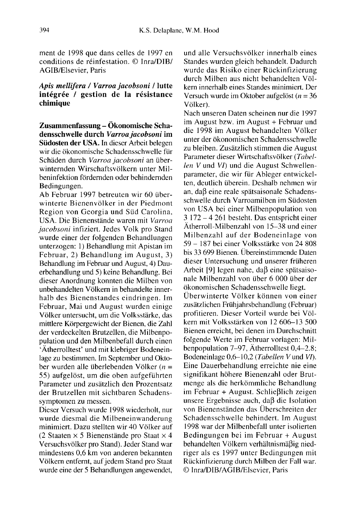ment de 1998 que dans celles de 1997 en conditions de réinfestation. © Inra/DIB/ AGIB/Elsevier, Paris

# Apis mellifera / Varroa jacobsoni / lutte intégrée / gestion de la résistance chimique

Zusammenfassung - Ökonomische Schadensschwelle durch Varroa jacobsoni im Südosten der USA. In dieser Arbeit belegen wir die ökonomische Schadensschwelle für Schäden durch Varroa jacobsoni an überwinternden Wirschaftsvölkern unter Milbeninfektion fördernden oder behindernden Bedingungen.

Ab Februar 1997 betreuten wir 60 überwinterte Bienenvölker in der Piedmont Region von Georgia und Süd Carolina, USA. Die Bienenstände waren mit Varroa jacobsoni infiziert. Jedes Volk pro Stand wurde einer der folgenden Behandlungen unterzogen: 1) Behandlung mit Apistan im Februar, 2) Behandlung im August, 3) Behandlung im Februar und August, 4) Dauerbehandlung und 5) keine Behandlung. Bei dieser Anordnung konnten die Milben von unbehandelten Völkern in behandelte innerhalb des Bienenstandes eindringen. Im Februar, Mai und August wurden einige Völker untersucht, um die Volksstärke, das mittlere Körpergewicht der Bienen, die Zahl der verdeckelten Brutzellen, die Milbenpopulation und den Milbenbefall durch einen 'Ätherrolltest' und mit klebriger Bodeneinlage zu bestimmen. Im September und Oktober wurden alle überlebenden Völker ( $n =$ 55) aufgelöst, um die oben aufgeführten Parameter und zusätzlich den Prozentsatz der Brutzellen mit sichtbaren Schadenssymptomen zu messen.

Dieser Versuch wurde 1998 wiederholt, nur wurde diesmal die Milbeneinwanderung minimiert. Dazu stellten wir 40 Völker auf (2 Staaten  $\times$  5 Bienenstände pro Staat  $\times$  4 Versuchsvölker pro Stand). Jeder Stand war mindestens 0,6 km von anderen bekannten Völkern entfernt, auf jedem Stand pro Staat wurde eine der 5 Behandlungen angewendet,

und alle Versuchsvölker innerhalb eines Standes wurden gleich behandelt. Dadurch wurde das Risiko einer Rückinfizierung durch Milben aus nicht behandelten Völkern innerhalb eines Standes minimiert. Der Versuch wurde im Oktober aufgelöst ( $n = 36$ ) Völker).

Nach unseren Daten scheinen nur die 1997 im August bzw. im August + Februar und die 1998 im August behandelten Völker unter der ökonomischen Schadensschwelle zu bleiben. Zusätzlich stimmen die August Parameter dieser Wirtschaftsvölker (Tabellen V und VI) und die August Schwellenparameter, die wir für Ableger entwickelten, deutlich überein. Deshalb nehmen wir an, daß eine reale spätsaisonale Schadensschwelle durch Varroamilben im Südosten von USA bei einer Milbenpopulation von 3 172-4 261 besteht. Das entspricht einer Ätherroll-Milbenzahl von 15-38 und einer Milbenzahl auf der Bodeneinlage von 59 - 187 bei einer Volksstärke von 24 808 bis 33 699 Bienen. Übereinstimmende Daten dieser Untersuchung und unserer früheren Arbeit [9] legen nahe, daß eine spätsaisonale Milbenzahl von über 6 000 über der ökonomischen Schadensschwelle liegt.

Überwinterte Völker können von einer zusätzlichen Frühjahrsbehandlung (Februar) profitieren. Dieser Vorteil wurde bei Völkern mit Volksstärken von 12 606-13 500 Bienen erreicht, bei denen im Durchschnitt folgende Werte im Februar vorlagen: Milbenpopulation 7-97, Ätherrolltest 0,4-2.8; Bodeneinlage 0,6-10,2 (Tabellen V und VI). Eine Dauerbehandlung erreichte nie eine signifikant höhere Bienenzahl oder Brutmenge als die herkömmliche Behandlung im Februar + August. Schließlich zeigen unsere Ergebnisse auch, daß die Isolation von Bienenständen das Überschreiten der Schadensschwelle behindert. Im August 1998 war der Milbenbefall unter isolierten Bedingungen bei im Februar + August behandelten Völkern verhältnismäßig niedriger als es 1997 unter Bedingungen mit Rückinfizierung durch Milben der Fall war. © Inra/DIB/AGIB/Elsevier, Paris